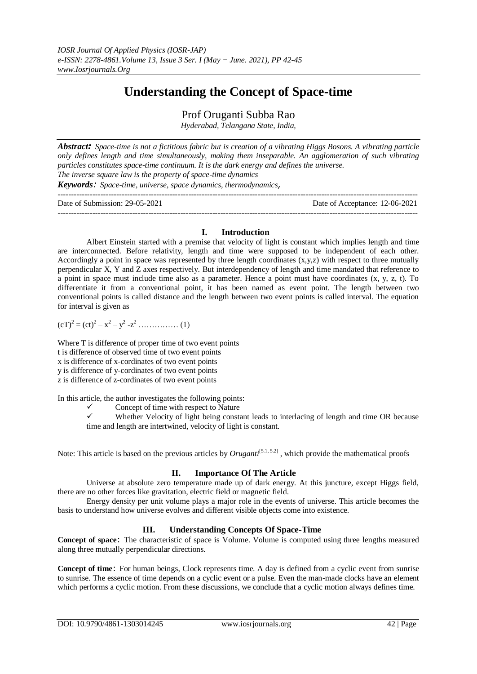# **Understanding the Concept of Space-time**

Prof Oruganti Subba Rao

*Hyderabad, Telangana State, India,*

*Abstract: Space-time is not a fictitious fabric but is creation of a vibrating Higgs Bosons. A vibrating particle only defines length and time simultaneously, making them inseparable. An agglomeration of such vibrating particles constitutes space-time continuum. It is the dark energy and defines the universe. The inverse square law is the property of space-time dynamics*

*Keywords: Space-time, universe, space dynamics, thermodynamics,* 

| Date of Submission: 29-05-2021 |  |  |  | Date of Acceptance: 12-06-2021 |
|--------------------------------|--|--|--|--------------------------------|
|                                |  |  |  |                                |

# **I. Introduction**

Albert Einstein started with a premise that velocity of light is constant which implies length and time are interconnected. Before relativity, length and time were supposed to be independent of each other. Accordingly a point in space was represented by three length coordinates  $(x,y,z)$  with respect to three mutually perpendicular X, Y and Z axes respectively. But interdependency of length and time mandated that reference to a point in space must include time also as a parameter. Hence a point must have coordinates (x, y, z, t). To differentiate it from a conventional point, it has been named as event point. The length between two conventional points is called distance and the length between two event points is called interval. The equation for interval is given as

$$
(cT)^{2} = (ct)^{2} - x^{2} - y^{2} - z^{2} \dots \dots \dots \dots \dots (1)
$$

Where T is difference of proper time of two event points t is difference of observed time of two event points x is difference of x-cordinates of two event points y is difference of y-cordinates of two event points z is difference of z-cordinates of two event points

In this article, the author investigates the following points:

- $\checkmark$  Concept of time with respect to Nature  $\checkmark$  Whether Velocity of light being constant
- Whether Velocity of light being constant leads to interlacing of length and time OR because time and length are intertwined, velocity of light is constant.

Note: This article is based on the previous articles by *Oruganti*<sup>[5.1, 5.2]</sup>, which provide the mathematical proofs

# **II. Importance Of The Article**

Universe at absolute zero temperature made up of dark energy. At this juncture, except Higgs field, there are no other forces like gravitation, electric field or magnetic field.

Energy density per unit volume plays a major role in the events of universe. This article becomes the basis to understand how universe evolves and different visible objects come into existence.

# **III. Understanding Concepts Of Space-Time**

**Concept of space**: The characteristic of space is Volume. Volume is computed using three lengths measured along three mutually perpendicular directions.

**Concept of time**: For human beings, Clock represents time. A day is defined from a cyclic event from sunrise to sunrise. The essence of time depends on a cyclic event or a pulse. Even the man-made clocks have an element which performs a cyclic motion. From these discussions, we conclude that a cyclic motion always defines time.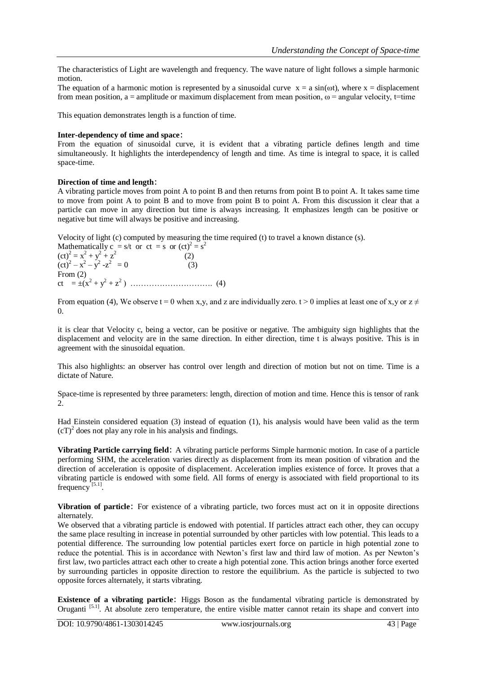The characteristics of Light are wavelength and frequency. The wave nature of light follows a simple harmonic motion.

The equation of a harmonic motion is represented by a sinusoidal curve  $x = a \sin(\omega t)$ , where  $x = displacement$ from mean position, a = amplitude or maximum displacement from mean position,  $\omega$  = angular velocity, t=time

This equation demonstrates length is a function of time.

#### **Inter-dependency of time and space**:

From the equation of sinusoidal curve, it is evident that a vibrating particle defines length and time simultaneously. It highlights the interdependency of length and time. As time is integral to space, it is called space-time.

## **Direction of time and length**:

A vibrating particle moves from point A to point B and then returns from point B to point A. It takes same time to move from point A to point B and to move from point B to point A. From this discussion it clear that a particle can move in any direction but time is always increasing. It emphasizes length can be positive or negative but time will always be positive and increasing.

Velocity of light (c) computed by measuring the time required (t) to travel a known distance (s).

Mathematically  $c = s/t$  or  $ct = s$  or  $(ct)<sup>2</sup> = s<sup>2</sup>$  $(ct)^2 = x^2 + y^2 + z^2$  (2)  $(ct)^2 - x^2 - y^2 - z^2 = 0$  (3) From (2) ct = ±(x<sup>2</sup> + y<sup>2</sup> + z<sup>2</sup> ) …………………………. (4)

From equation (4), We observe t = 0 when x,y, and z are individually zero. t > 0 implies at least one of x,y or  $z \neq 0$ 0.

it is clear that Velocity c, being a vector, can be positive or negative. The ambiguity sign highlights that the displacement and velocity are in the same direction. In either direction, time t is always positive. This is in agreement with the sinusoidal equation.

This also highlights: an observer has control over length and direction of motion but not on time. Time is a dictate of Nature.

Space-time is represented by three parameters: length, direction of motion and time. Hence this is tensor of rank 2.

Had Einstein considered equation (3) instead of equation (1), his analysis would have been valid as the term  $(cT)^2$  does not play any role in his analysis and findings.

**Vibrating Particle carrying field**: A vibrating particle performs Simple harmonic motion. In case of a particle performing SHM, the acceleration varies directly as displacement from its mean position of vibration and the direction of acceleration is opposite of displacement. Acceleration implies existence of force. It proves that a vibrating particle is endowed with some field. All forms of energy is associated with field proportional to its frequency<sup>[5.1]</sup>.

**Vibration of particle**: For existence of a vibrating particle, two forces must act on it in opposite directions alternately.

We observed that a vibrating particle is endowed with potential. If particles attract each other, they can occupy the same place resulting in increase in potential surrounded by other particles with low potential. This leads to a potential difference. The surrounding low potential particles exert force on particle in high potential zone to reduce the potential. This is in accordance with Newton's first law and third law of motion. As per Newton's first law, two particles attract each other to create a high potential zone. This action brings another force exerted by surrounding particles in opposite direction to restore the equilibrium. As the particle is subjected to two opposite forces alternately, it starts vibrating.

**Existence of a vibrating particle**: Higgs Boson as the fundamental vibrating particle is demonstrated by Oruganti  $[5.1]$ . At absolute zero temperature, the entire visible matter cannot retain its shape and convert into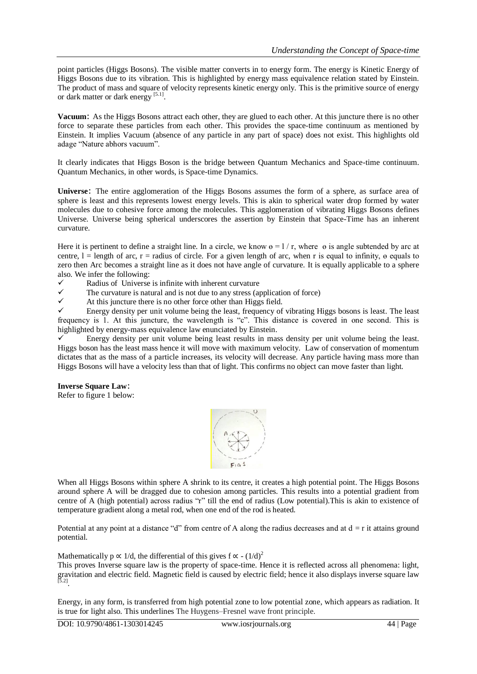point particles (Higgs Bosons). The visible matter converts in to energy form. The energy is Kinetic Energy of Higgs Bosons due to its vibration. This is highlighted by energy mass equivalence relation stated by Einstein. The product of mass and square of velocity represents kinetic energy only. This is the primitive source of energy or dark matter or dark energy<sup>[5.1]</sup>.

**Vacuum**: As the Higgs Bosons attract each other, they are glued to each other. At this juncture there is no other force to separate these particles from each other. This provides the space-time continuum as mentioned by Einstein. It implies Vacuum (absence of any particle in any part of space) does not exist. This highlights old adage "Nature abhors vacuum".

It clearly indicates that Higgs Boson is the bridge between Quantum Mechanics and Space-time continuum. Quantum Mechanics, in other words, is Space-time Dynamics.

**Universe**: The entire agglomeration of the Higgs Bosons assumes the form of a sphere, as surface area of sphere is least and this represents lowest energy levels. This is akin to spherical water drop formed by water molecules due to cohesive force among the molecules. This agglomeration of vibrating Higgs Bosons defines Universe. Universe being spherical underscores the assertion by Einstein that Space-Time has an inherent curvature.

Here it is pertinent to define a straight line. In a circle, we know  $\theta = 1/r$ , where  $\theta$  is angle subtended by arc at centre,  $l =$  length of arc,  $r =$  radius of circle. For a given length of arc, when r is equal to infinity,  $\theta$  equals to zero then Arc becomes a straight line as it does not have angle of curvature. It is equally applicable to a sphere also. We infer the following:

- Example 3  $\checkmark$  Radius of Universe is infinite with inherent curvature  $\checkmark$  The curvature is natural and is not due to any stress (at
- $\checkmark$  The curvature is natural and is not due to any stress (application of force)<br> $\checkmark$  At this juncture there is no other force other than Higgs field
- $\checkmark$  At this juncture there is no other force other than Higgs field.<br> $\checkmark$  Finerally persity per unit volume being the least frequency of

 Energy density per unit volume being the least, frequency of vibrating Higgs bosons is least. The least frequency is 1. At this juncture, the wavelength is "c". This distance is covered in one second. This is highlighted by energy-mass equivalence law enunciated by Einstein.

 Energy density per unit volume being least results in mass density per unit volume being the least. Higgs boson has the least mass hence it will move with maximum velocity. Law of conservation of momentum dictates that as the mass of a particle increases, its velocity will decrease. Any particle having mass more than Higgs Bosons will have a velocity less than that of light. This confirms no object can move faster than light.

## **Inverse Square Law**:

Refer to figure 1 below:



When all Higgs Bosons within sphere A shrink to its centre, it creates a high potential point. The Higgs Bosons around sphere A will be dragged due to cohesion among particles. This results into a potential gradient from centre of A (high potential) across radius "r" till the end of radius (Low potential).This is akin to existence of temperature gradient along a metal rod, when one end of the rod is heated.

Potential at any point at a distance "d" from centre of A along the radius decreases and at  $d = r$  it attains ground potential.

Mathematically  $p \propto 1/d$ , the differential of this gives  $f \propto - (1/d)^2$ 

This proves Inverse square law is the property of space-time. Hence it is reflected across all phenomena: light, gravitation and electric field. Magnetic field is caused by electric field; hence it also displays inverse square law [5.2] .

Energy, in any form, is transferred from high potential zone to low potential zone, which appears as radiation. It is true for light also. This underlines The Huygens–Fresnel wave front principle.